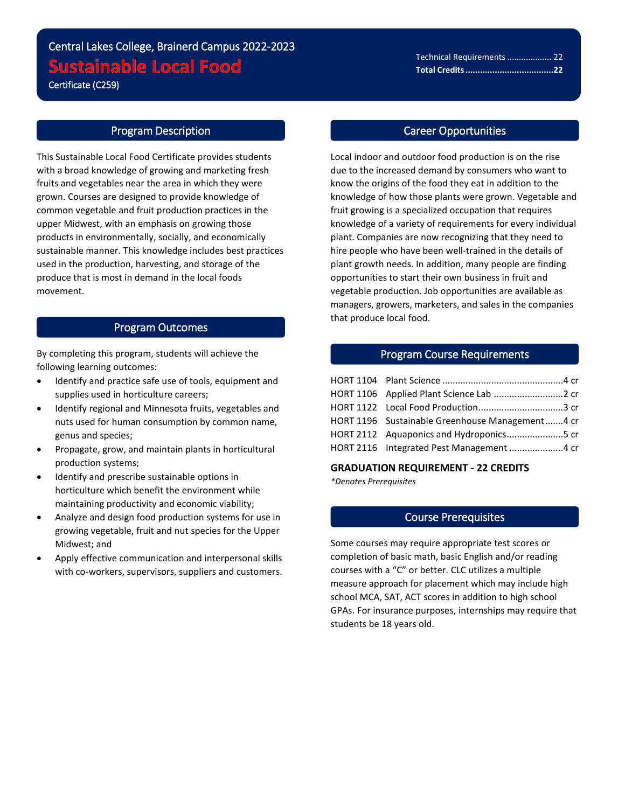# Central Lakes College, Brainerd Campus 2022-2023 **Sustainable Local Food**

Certificate (C259)

i<br>L

### Program Description

This Sustainable Local Food Certificate provides students with a broad knowledge of growing and marketing fresh fruits and vegetables near the area in which they were grown. Courses are designed to provide knowledge of common vegetable and fruit production practices in the upper Midwest, with an emphasis on growing those products in environmentally, socially, and economically sustainable manner. This knowledge includes best practices used in the production, harvesting, and storage of the produce that is most in demand in the local foods movement.

# Program Outcomes

By completing this program, students will achieve the following learning outcomes:

- Identify and practice safe use of tools, equipment and supplies used in horticulture careers;
- Identify regional and Minnesota fruits, vegetables and nuts used for human consumption by common name, genus and species;
- Propagate, grow, and maintain plants in horticultural production systems;
- Identify and prescribe sustainable options in horticulture which benefit the environment while maintaining productivity and economic viability;
- Analyze and design food production systems for use in growing vegetable, fruit and nut species for the Upper Midwest; and
- Apply effective communication and interpersonal skills with co-workers, supervisors, suppliers and customers.

## Career Opportunities

Local indoor and outdoor food production is on the rise due to the increased demand by consumers who want to know the origins of the food they eat in addition to the knowledge of how those plants were grown. Vegetable and fruit growing is a specialized occupation that requires knowledge of a variety of requirements for every individual plant. Companies are now recognizing that they need to hire people who have been well-trained in the details of plant growth needs. In addition, many people are finding opportunities to start their own business in fruit and vegetable production. Job opportunities are available as managers, growers, marketers, and sales in the companies that produce local food.

## Program Course Requirements

| HORT 1196 Sustainable Greenhouse Management4 cr |  |
|-------------------------------------------------|--|
|                                                 |  |
| HORT 2116 Integrated Pest Management  4 cr      |  |

#### **GRADUATION REQUIREMENT - 22 CREDITS**

*\*Denotes Prerequisites*

# Course Prerequisites

Some courses may require appropriate test scores or completion of basic math, basic English and/or reading courses with a "C" or better. CLC utilizes a multiple measure approach for placement which may include high school MCA, SAT, ACT scores in addition to high school GPAs. For insurance purposes, internships may require that students be 18 years old.